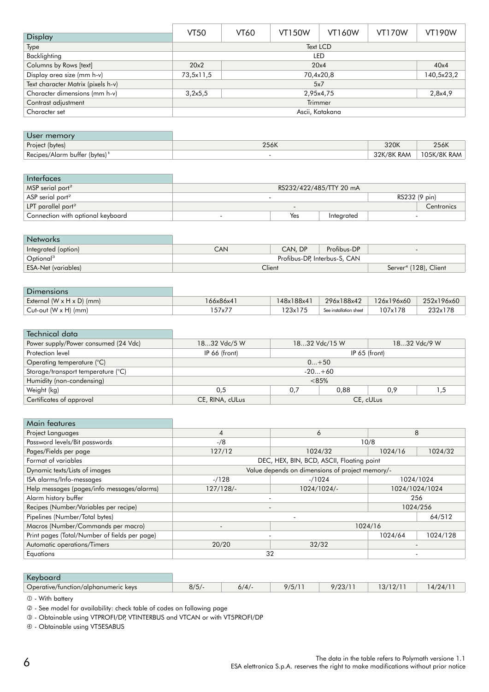|                                    | VT50                   | <b>VT60</b>     | <b>VT150W</b> | <b>VT160W</b> | <b>VT170W</b> | <b>VT190W</b> |
|------------------------------------|------------------------|-----------------|---------------|---------------|---------------|---------------|
| <b>Display</b>                     |                        |                 |               |               |               |               |
| Type                               |                        | <b>Text LCD</b> |               |               |               |               |
| Backlighting                       |                        | <b>LED</b>      |               |               |               |               |
| Columns by Rows [text]             | 20x4<br>20x2           |                 |               |               | 40x4          |               |
| Display area size (mm h-v)         | 70,4x20,8<br>73,5x11,5 |                 |               |               | 140,5x23,2    |               |
| Text character Matrix (pixels h-v) | 5x7                    |                 |               |               |               |               |
| Character dimensions (mm h-v)      | 3,2x5,5<br>2,95x4,75   |                 |               |               | 2,8x4,9       |               |
| Contrast adjustment                | Trimmer                |                 |               |               |               |               |
| Character set                      | Ascii, Katakana        |                 |               |               |               |               |

| User memory                               |      |            |             |
|-------------------------------------------|------|------------|-------------|
| Project (bytes)                           | 256K | 320K       | 256K        |
| Recipes/Alarm buffer (bytes) <sup>1</sup> |      | 32K/8K RAM | 105K/8K RAM |

| Interfaces                        |               |                         |            |  |            |
|-----------------------------------|---------------|-------------------------|------------|--|------------|
| MSP serial port <sup>2</sup>      |               | RS232/422/485/TTY 20 mA |            |  |            |
| ASP serial port <sup>2</sup>      | RS232 (9 pin) |                         |            |  |            |
| LPT parallel port <sup>2</sup>    |               |                         |            |  | Centronics |
| Connection with optional keyboard |               | Yes                     | Integrated |  |            |

| <b>Networks</b>            |                                             |         |             |                          |
|----------------------------|---------------------------------------------|---------|-------------|--------------------------|
| Integrated (option)        | CAN                                         | CAN, DP | Profibus-DP | $\overline{\phantom{0}}$ |
| Optional <sup>3</sup>      | Profibus-DP, Interbus-S, CAN                |         |             |                          |
| <b>ESA-Net (variables)</b> | Client<br>Server <sup>4</sup> (128), Client |         |             |                          |

## **Dimensions** External (W x H x D) (mm)<br>
Cut-out (W x H) (mm)<br>
232x178 157x77 123x175 See installation sheet 107x178 232x178  $Cut$ -out  $(W \times H)$  (mm)

| Technical data                       |                               |               |     |  |              |
|--------------------------------------|-------------------------------|---------------|-----|--|--------------|
| Power supply/Power consumed (24 Vdc) | 1832 Vdc/5 W<br>1832 Vdc/15 W |               |     |  | 1832 Vdc/9 W |
| Protection level                     | IP 66 (front)                 | IP 65 (front) |     |  |              |
| Operating temperature (°C)           | $0+50$                        |               |     |  |              |
| Storage/transport temperature (°C)   | $-20+60$                      |               |     |  |              |
| Humidity (non-condensing)            | $<85\%$                       |               |     |  |              |
| Weight (kg)                          | 0.88<br>0.5<br>0.7            |               | 0.9 |  |              |
| Certificates of approval             | CE, RINA, cULus               | CE, cULus     |     |  |              |

|  | <b>Main features</b> |
|--|----------------------|

| Project Languages                             | 6<br>4                                          |         | 8              |          |
|-----------------------------------------------|-------------------------------------------------|---------|----------------|----------|
| Password levels/Bit passwords                 | 10/8<br>$-$ /8                                  |         |                |          |
| Pages/Fields per page                         | 127/12                                          | 1024/32 | 1024/16        | 1024/32  |
| Format of variables                           | DEC, HEX, BIN, BCD, ASCII, Floating point       |         |                |          |
| Dynamic texts/Lists of images                 | Value depends on dimensions of project memory/- |         |                |          |
| ISA alarms/Info-messages                      | $-1128$<br>$-$ /1024                            |         | 1024/1024      |          |
| Help messages (pages/info messages/alarms)    | 1024/1024/-<br>127/128/                         |         | 1024/1024/1024 |          |
| Alarm history buffer                          | 256                                             |         |                |          |
| Recipes (Number/Variables per recipe)         | 1024/256                                        |         |                |          |
| Pipelines (Number/Total bytes)                |                                                 |         |                | 64/512   |
| Macros (Number/Commands per macro)            | 1024/16<br>$\overline{\phantom{a}}$             |         |                |          |
| Print pages (Total/Number of fields per page) |                                                 |         | 1024/64        | 1024/128 |
| Automatic operations/Timers                   | 20/20                                           | 32/32   |                |          |
| Equations                                     | 32                                              |         |                |          |

| Keybo                                |          |               |                 |            |  |
|--------------------------------------|----------|---------------|-----------------|------------|--|
| Operative/tunction/alphanumeric keys | 0/L<br>J | 1/E/1<br>ان ا | 100111<br>/د∠ ⁄ | 0/1<br>. . |  |

 **- With battery** 

- See model for availability: check table of codes on following page

- Obtainable using VTPROFI/DP, VTINTERBUS and VTCAN or with VT5PROFI/DP

- Obtainable using VT5ESABUS